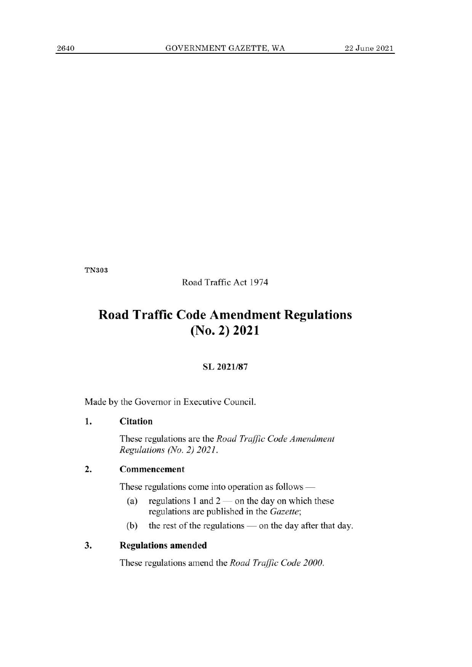TN303

Road Traffic Act 1974

# **Road Traffic Code Amendment Regulations (No. 2) 2021**

#### SL 2021/87

Made by the Governor in Executive Council.

#### **1. Citation**

These regulations are the *Road Traffic Code Amendment Regulations (No. 2) 2021.* 

## **2. Commencement**

These regulations come into operation as follows —

- (a) regulations 1 and  $2$  on the day on which these regulations are published in the *Gazette;*
- **(b)** the rest of the regulations on the day after that day.

#### **3. Regulations** amended

These regulations amend the *Road Traffic Code 2000.*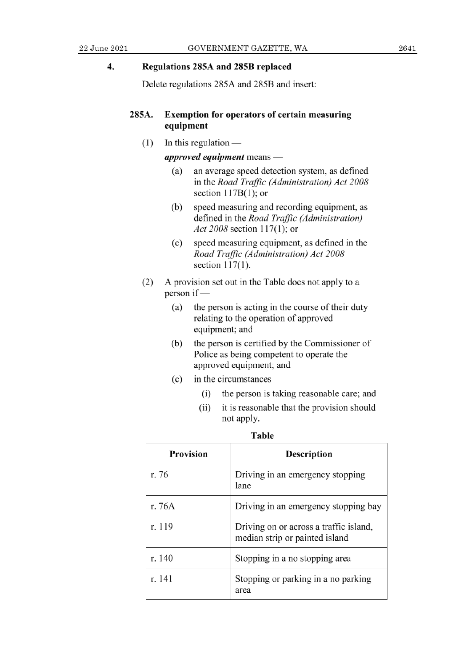### **4. Regulations 285A and 285B replaced**

Delete regulations 285A and 285B and insert:

#### **285A. Exemption for operators of certain measuring equipment**

 $(1)$  In this regulation  $-$ 

*approved equipment* means —

- (a) an average speed detection system, as defined *in the Road Traffic (Administration) Act 2008*  section  $117B(1)$ ; or
- (b) speed measuring and recording equipment, as *defined in the Road Traffic (Administration) Act 2008* section 117(1); or
- (c) speed measuring equipment, as defined in the *Road Traffic (Administration) Act 2008*  section 117(1).
- (2) A provision set out in the Table does not apply to a person *if—* 
	- (a) the person is acting in the course of their duty relating to the operation of approved equipment; and
	- (b) the person is certified by the Commissioner of Police as being competent to operate the approved equipment; and
	- $(c)$  in the circumstances  $-$ 
		- (i) the person is taking reasonable care; and
		- it is reasonable that the provision should  $(ii)$ not apply.

| <b>Provision</b> | Description                                                              |
|------------------|--------------------------------------------------------------------------|
| r. 76            | Driving in an emergency stopping<br>lane                                 |
| r. 76A           | Driving in an emergency stopping bay                                     |
| r. 119           | Driving on or across a traffic island,<br>median strip or painted island |
| r. 140           | Stopping in a no stopping area                                           |
| r. 141           | Stopping or parking in a no parking<br>area                              |

**Table**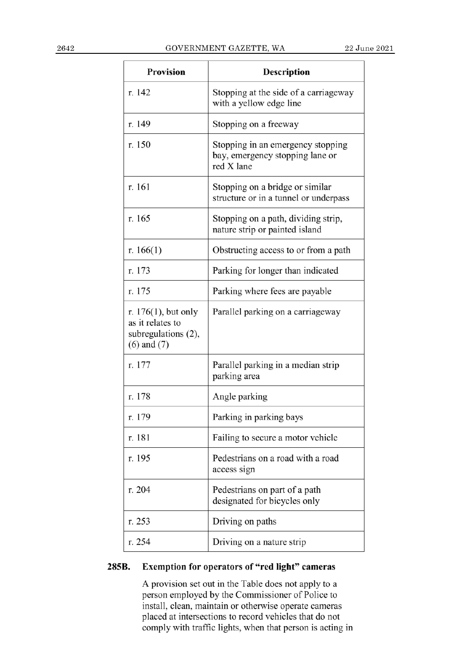| Provision                                                                            | Description                                                                        |
|--------------------------------------------------------------------------------------|------------------------------------------------------------------------------------|
| r. 142                                                                               | Stopping at the side of a carriageway<br>with a yellow edge line                   |
| r. 149                                                                               | Stopping on a freeway                                                              |
| r. 150                                                                               | Stopping in an emergency stopping<br>bay, emergency stopping lane or<br>red X lane |
| r. 161                                                                               | Stopping on a bridge or similar<br>structure or in a tunnel or underpass           |
| r. 165                                                                               | Stopping on a path, dividing strip,<br>nature strip or painted island              |
| r. $166(1)$                                                                          | Obstructing access to or from a path                                               |
| r. 173                                                                               | Parking for longer than indicated                                                  |
| r. 175                                                                               | Parking where fees are payable                                                     |
| r. $176(1)$ , but only<br>as it relates to<br>subregulations (2),<br>$(6)$ and $(7)$ | Parallel parking on a carriageway                                                  |
| r. 177                                                                               | Parallel parking in a median strip<br>parking area                                 |
| r. 178                                                                               | Angle parking                                                                      |
| r. 179                                                                               | Parking in parking bays                                                            |
| r. 181                                                                               | Failing to secure a motor vehicle                                                  |
| r. 195                                                                               | Pedestrians on a road with a road<br>access sign                                   |
| r. 204                                                                               | Pedestrians on part of a path<br>designated for bicycles only                      |
| r. 253                                                                               | Driving on paths                                                                   |
| r. 254                                                                               | Driving on a nature strip                                                          |

## **285B. Exemption** for operators **of "red light" cameras**

A provision set out in the Table does not apply to a person employed by the Commissioner of Police to install, clean, maintain or otherwise operate cameras placed at intersections to record vehicles that do not comply with traffic lights, when that person is acting in